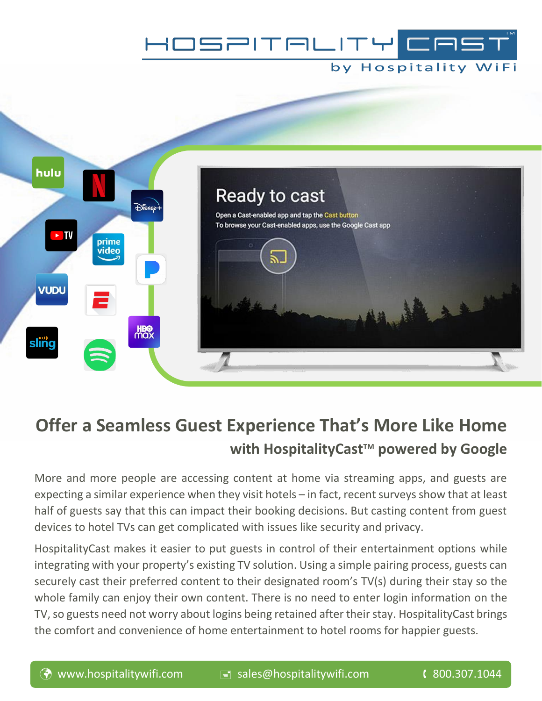

## by Hospitality WiFi



# **Offer a Seamless Guest Experience That's More Like Home with HospitalityCastTM powered by Google**

More and more people are accessing content at home via streaming apps, and guests are expecting a similar experience when they visit hotels – in fact, recent surveys show that at least half of guests say that this can impact their booking decisions. But casting content from guest devices to hotel TVs can get complicated with issues like security and privacy.

HospitalityCast makes it easier to put guests in control of their entertainment options while integrating with your property's existing TV solution. Using a simple pairing process, guests can securely cast their preferred content to their designated room's TV(s) during their stay so the whole family can enjoy their own content. There is no need to enter login information on the TV, so guests need not worry about logins being retained after their stay. HospitalityCast brings the comfort and convenience of home entertainment to hotel rooms for happier guests.